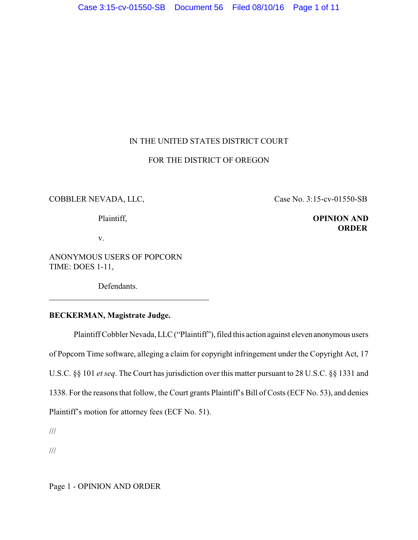# IN THE UNITED STATES DISTRICT COURT

### FOR THE DISTRICT OF OREGON

### COBBLER NEVADA, LLC, Case No. 3:15-cv-01550-SB

# Plaintiff, **OPINION AND ORDER**

v.

ANONYMOUS USERS OF POPCORN TIME: DOES 1-11,

Defendants.

# **BECKERMAN, Magistrate Judge.**

Plaintiff Cobbler Nevada, LLC ("Plaintiff"), filed this action against eleven anonymous users of Popcorn Time software, alleging a claim for copyright infringement under the Copyright Act, 17 U.S.C. §§ 101 *et seq*. The Court has jurisdiction over this matter pursuant to 28 U.S.C. §§ 1331 and 1338. For the reasons that follow, the Court grants Plaintiff's Bill of Costs (ECF No. 53), and denies Plaintiff's motion for attorney fees (ECF No. 51).

///

l

///

Page 1 - OPINION AND ORDER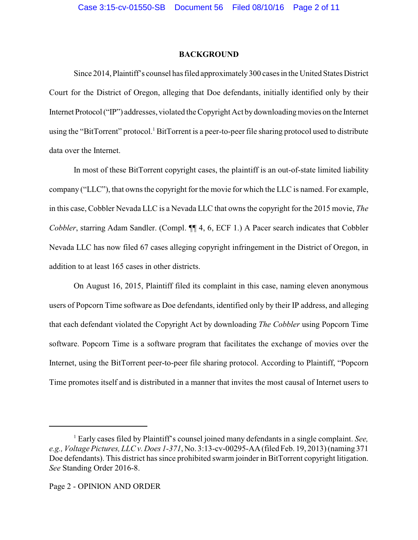#### **BACKGROUND**

Since 2014, Plaintiff's counsel has filed approximately300 cases in the United States District Court for the District of Oregon, alleging that Doe defendants, initially identified only by their Internet Protocol ("IP") addresses, violated the Copyright Act by downloading movies on the Internet using the "BitTorrent" protocol.<sup>1</sup> BitTorrent is a peer-to-peer file sharing protocol used to distribute data over the Internet.

In most of these BitTorrent copyright cases, the plaintiff is an out-of-state limited liability company ("LLC"), that owns the copyright for the movie for which the LLC is named. For example, in this case, Cobbler Nevada LLC is a Nevada LLC that owns the copyright for the 2015 movie, *The Cobbler*, starring Adam Sandler. (Compl. ¶ 4, 6, ECF 1.) A Pacer search indicates that Cobbler Nevada LLC has now filed 67 cases alleging copyright infringement in the District of Oregon, in addition to at least 165 cases in other districts.

On August 16, 2015, Plaintiff filed its complaint in this case, naming eleven anonymous users of Popcorn Time software as Doe defendants, identified only by their IP address, and alleging that each defendant violated the Copyright Act by downloading *The Cobbler* using Popcorn Time software. Popcorn Time is a software program that facilitates the exchange of movies over the Internet, using the BitTorrent peer-to-peer file sharing protocol. According to Plaintiff, "Popcorn Time promotes itself and is distributed in a manner that invites the most causal of Internet users to

<sup>1</sup> Early cases filed by Plaintiff's counsel joined many defendants in a single complaint. *See, e.g., Voltage Pictures, LLC v. Does 1-371*, No. 3:13-cv-00295-AA (filed Feb. 19, 2013) (naming 371 Doe defendants). This district has since prohibited swarm joinder in BitTorrent copyright litigation. *See* Standing Order 2016-8.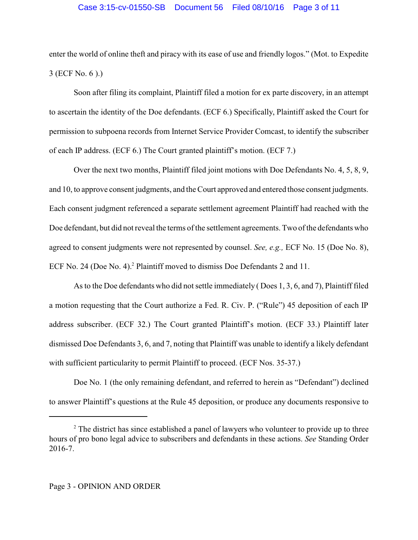### Case 3:15-cv-01550-SB Document 56 Filed 08/10/16 Page 3 of 11

enter the world of online theft and piracy with its ease of use and friendly logos." (Mot. to Expedite 3 (ECF No. 6 ).)

Soon after filing its complaint, Plaintiff filed a motion for ex parte discovery, in an attempt to ascertain the identity of the Doe defendants. (ECF 6.) Specifically, Plaintiff asked the Court for permission to subpoena records from Internet Service Provider Comcast, to identify the subscriber of each IP address. (ECF 6.) The Court granted plaintiff's motion. (ECF 7.)

Over the next two months, Plaintiff filed joint motions with Doe Defendants No. 4, 5, 8, 9, and 10, to approve consent judgments, and the Court approved and entered those consent judgments. Each consent judgment referenced a separate settlement agreement Plaintiff had reached with the Doe defendant, but did not reveal the terms of the settlement agreements. Two of the defendants who agreed to consent judgments were not represented by counsel. *See, e.g.,* ECF No. 15 (Doe No. 8), ECF No. 24 (Doe No. 4).<sup>2</sup> Plaintiff moved to dismiss Doe Defendants 2 and 11.

As to the Doe defendants who did not settle immediately ( Does 1, 3, 6, and 7), Plaintiff filed a motion requesting that the Court authorize a Fed. R. Civ. P. ("Rule") 45 deposition of each IP address subscriber. (ECF 32.) The Court granted Plaintiff's motion. (ECF 33.) Plaintiff later dismissed Doe Defendants 3, 6, and 7, noting that Plaintiff was unable to identify a likely defendant with sufficient particularity to permit Plaintiff to proceed. (ECF Nos. 35-37.)

Doe No. 1 (the only remaining defendant, and referred to herein as "Defendant") declined to answer Plaintiff's questions at the Rule 45 deposition, or produce any documents responsive to

 $2^2$  The district has since established a panel of lawyers who volunteer to provide up to three hours of pro bono legal advice to subscribers and defendants in these actions. *See* Standing Order 2016-7.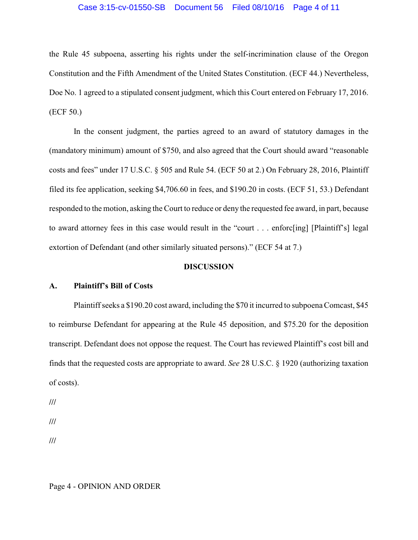#### Case 3:15-cv-01550-SB Document 56 Filed 08/10/16 Page 4 of 11

the Rule 45 subpoena, asserting his rights under the self-incrimination clause of the Oregon Constitution and the Fifth Amendment of the United States Constitution. (ECF 44.) Nevertheless, Doe No. 1 agreed to a stipulated consent judgment, which this Court entered on February 17, 2016. (ECF 50.)

In the consent judgment, the parties agreed to an award of statutory damages in the (mandatory minimum) amount of \$750, and also agreed that the Court should award "reasonable costs and fees" under 17 U.S.C. § 505 and Rule 54. (ECF 50 at 2.) On February 28, 2016, Plaintiff filed its fee application, seeking \$4,706.60 in fees, and \$190.20 in costs. (ECF 51, 53.) Defendant responded to the motion, asking the Court to reduce or deny the requested fee award, in part, because to award attorney fees in this case would result in the "court . . . enforc[ing] [Plaintiff's] legal extortion of Defendant (and other similarly situated persons)." (ECF 54 at 7.)

#### **DISCUSSION**

# **A. Plaintiff's Bill of Costs**

Plaintiff seeks a \$190.20 cost award, including the \$70 it incurred to subpoena Comcast, \$45 to reimburse Defendant for appearing at the Rule 45 deposition, and \$75.20 for the deposition transcript. Defendant does not oppose the request. The Court has reviewed Plaintiff's cost bill and finds that the requested costs are appropriate to award. *See* 28 U.S.C. § 1920 (authorizing taxation of costs).

**///**

**///**

**///**

Page 4 - OPINION AND ORDER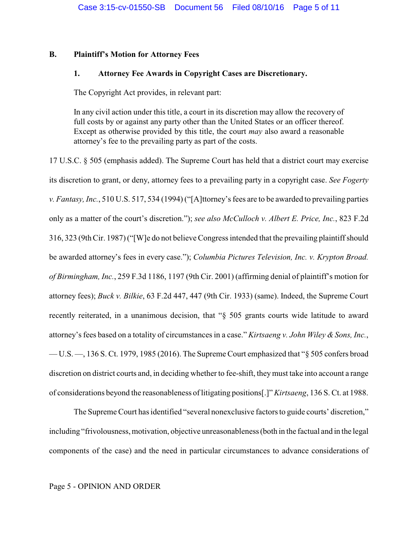## **B. Plaintiff's Motion for Attorney Fees**

#### **1. Attorney Fee Awards in Copyright Cases are Discretionary.**

The Copyright Act provides, in relevant part:

In any civil action under this title, a court in its discretion may allow the recovery of full costs by or against any party other than the United States or an officer thereof. Except as otherwise provided by this title, the court *may* also award a reasonable attorney's fee to the prevailing party as part of the costs.

17 U.S.C. § 505 (emphasis added). The Supreme Court has held that a district court may exercise its discretion to grant, or deny, attorney fees to a prevailing party in a copyright case. *See Fogerty v. Fantasy, Inc.*, 510 U.S. 517, 534 (1994) ("[A]ttorney's fees are to be awarded to prevailing parties only as a matter of the court's discretion."); *see also McCulloch v. Albert E. Price, Inc.*, 823 F.2d 316, 323 (9th Cir. 1987) ("[W]e do not believe Congress intended that the prevailing plaintiff should be awarded attorney's fees in every case."); *Columbia Pictures Television, Inc. v. Krypton Broad. of Birmingham, Inc.*, 259 F.3d 1186, 1197 (9th Cir. 2001) (affirming denial of plaintiff's motion for attorney fees); *Buck v. Bilkie*, 63 F.2d 447, 447 (9th Cir. 1933) (same). Indeed, the Supreme Court recently reiterated, in a unanimous decision, that "§ 505 grants courts wide latitude to award attorney's fees based on a totality of circumstances in a case." *Kirtsaeng v. John Wiley & Sons, Inc.*, — U.S. —, 136 S. Ct. 1979, 1985 (2016). The Supreme Court emphasized that "§ 505 confers broad discretion on district courts and, in deciding whether to fee-shift, they must take into account a range of considerations beyond the reasonableness oflitigating positions[.]"*Kirtsaeng*, 136 S. Ct. at 1988.

The Supreme Court has identified "several nonexclusive factors to guide courts' discretion," including "frivolousness, motivation, objective unreasonableness (both in the factual and in the legal components of the case) and the need in particular circumstances to advance considerations of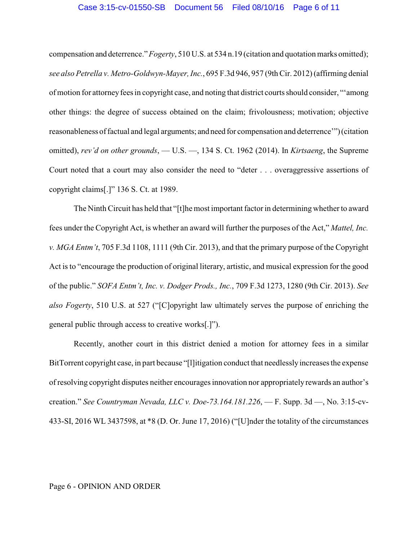#### Case 3:15-cv-01550-SB Document 56 Filed 08/10/16 Page 6 of 11

compensation and deterrence." *Fogerty*, 510 U.S. at 534 n.19 (citation and quotation marks omitted); *see also Petrella v. Metro-Goldwyn-Mayer, Inc.*, 695 F.3d 946, 957 (9th Cir. 2012) (affirming denial of motion for attorneyfees in copyright case, and noting that district courts should consider, "'among other things: the degree of success obtained on the claim; frivolousness; motivation; objective reasonableness of factual and legal arguments; and need for compensation and deterrence'") (citation omitted), *rev'd on other grounds*, — U.S. —, 134 S. Ct. 1962 (2014). In *Kirtsaeng*, the Supreme Court noted that a court may also consider the need to "deter . . . overaggressive assertions of copyright claims[.]" 136 S. Ct. at 1989.

The Ninth Circuit has held that "[t]he most important factor in determining whether to award fees under the Copyright Act, is whether an award will further the purposes of the Act," *Mattel, Inc. v. MGA Entm't*, 705 F.3d 1108, 1111 (9th Cir. 2013), and that the primary purpose of the Copyright Act is to "encourage the production of original literary, artistic, and musical expression for the good of the public." *SOFA Entm't, Inc. v. Dodger Prods., Inc.*, 709 F.3d 1273, 1280 (9th Cir. 2013). *See also Fogerty*, 510 U.S. at 527 ("[C]opyright law ultimately serves the purpose of enriching the general public through access to creative works[.]").

Recently, another court in this district denied a motion for attorney fees in a similar BitTorrent copyright case, in part because "[l]itigation conduct that needlesslyincreases the expense of resolving copyright disputes neither encourages innovation nor appropriately rewards an author's creation." *See Countryman Nevada, LLC v. Doe-73.164.181.226*, — F. Supp. 3d —, No. 3:15-cv-433-SI, 2016 WL 3437598, at \*8 (D. Or. June 17, 2016) ("[U]nder the totality of the circumstances

#### Page 6 - OPINION AND ORDER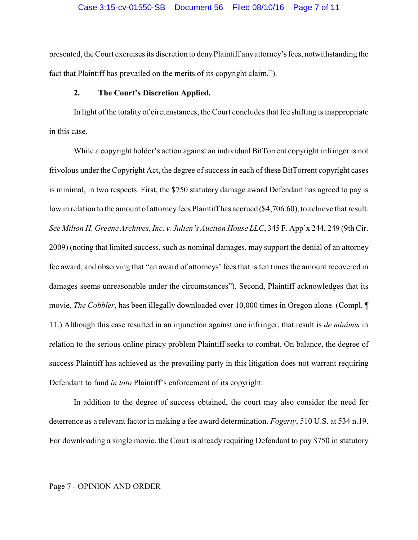presented, the Court exercises its discretion to denyPlaintiff anyattorney's fees, notwithstanding the fact that Plaintiff has prevailed on the merits of its copyright claim.").

### **2. The Court's Discretion Applied.**

In light of the totality of circumstances, the Court concludes that fee shifting is inappropriate in this case.

While a copyright holder's action against an individual BitTorrent copyright infringer is not frivolous under the Copyright Act, the degree of success in each of these BitTorrent copyright cases is minimal, in two respects. First, the \$750 statutory damage award Defendant has agreed to pay is low in relation to the amount of attorney fees Plaintiff has accrued (\$4,706.60), to achieve that result. *See Milton H. Greene Archives, Inc. v. Julien's Auction House LLC*, 345 F. App'x 244, 249 (9th Cir. 2009) (noting that limited success, such as nominal damages, may support the denial of an attorney fee award, and observing that "an award of attorneys' fees that is ten times the amount recovered in damages seems unreasonable under the circumstances"). Second, Plaintiff acknowledges that its movie, *The Cobbler*, has been illegally downloaded over 10,000 times in Oregon alone. (Compl. ¶ 11.) Although this case resulted in an injunction against one infringer, that result is *de minimis* in relation to the serious online piracy problem Plaintiff seeks to combat. On balance, the degree of success Plaintiff has achieved as the prevailing party in this litigation does not warrant requiring Defendant to fund *in toto* Plaintiff's enforcement of its copyright.

In addition to the degree of success obtained, the court may also consider the need for deterrence as a relevant factor in making a fee award determination. *Fogerty*, 510 U.S. at 534 n.19. For downloading a single movie, the Court is already requiring Defendant to pay \$750 in statutory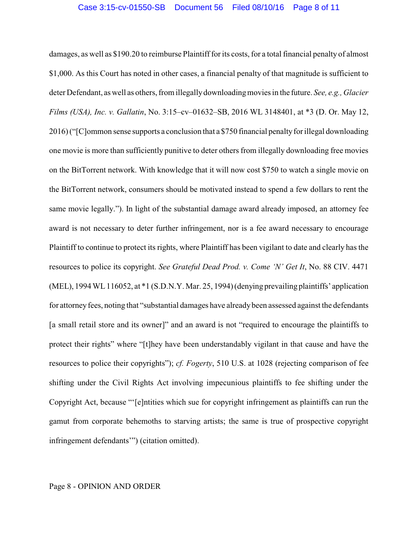damages, as well as \$190.20 to reimburse Plaintiff for its costs, for a total financial penalty of almost \$1,000. As this Court has noted in other cases, a financial penalty of that magnitude is sufficient to deter Defendant, as well as others, from illegallydownloadingmovies in the future. *See, e.g., Glacier Films (USA), Inc. v. Gallatin*, No. 3:15–cv–01632–SB, 2016 WL 3148401, at \*3 (D. Or. May 12, 2016) ("[C]ommon sense supports a conclusion that a \$750 financial penalty for illegal downloading one movie is more than sufficiently punitive to deter others from illegally downloading free movies on the BitTorrent network. With knowledge that it will now cost \$750 to watch a single movie on the BitTorrent network, consumers should be motivated instead to spend a few dollars to rent the same movie legally."). In light of the substantial damage award already imposed, an attorney fee award is not necessary to deter further infringement, nor is a fee award necessary to encourage Plaintiff to continue to protect its rights, where Plaintiff has been vigilant to date and clearly has the resources to police its copyright. *See Grateful Dead Prod. v. Come 'N' Get It*, No. 88 CIV. 4471 (MEL), 1994 WL116052, at \*1 (S.D.N.Y. Mar. 25, 1994) (denying prevailing plaintiffs' application for attorney fees, noting that "substantial damages have already been assessed against the defendants [a small retail store and its owner]" and an award is not "required to encourage the plaintiffs to protect their rights" where "[t]hey have been understandably vigilant in that cause and have the resources to police their copyrights"); *cf. Fogerty*, 510 U.S. at 1028 (rejecting comparison of fee shifting under the Civil Rights Act involving impecunious plaintiffs to fee shifting under the Copyright Act, because "'[e]ntities which sue for copyright infringement as plaintiffs can run the gamut from corporate behemoths to starving artists; the same is true of prospective copyright infringement defendants'") (citation omitted).

#### Page 8 - OPINION AND ORDER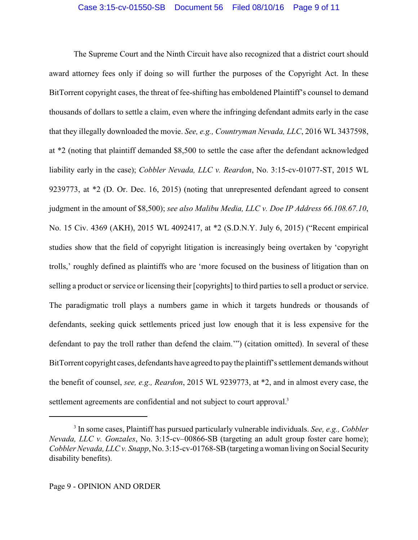The Supreme Court and the Ninth Circuit have also recognized that a district court should award attorney fees only if doing so will further the purposes of the Copyright Act. In these BitTorrent copyright cases, the threat of fee-shifting has emboldened Plaintiff's counsel to demand thousands of dollars to settle a claim, even where the infringing defendant admits early in the case that they illegally downloaded the movie. *See, e.g., Countryman Nevada, LLC*, 2016 WL 3437598, at \*2 (noting that plaintiff demanded \$8,500 to settle the case after the defendant acknowledged liability early in the case); *Cobbler Nevada, LLC v. Reardon*, No. 3:15-cv-01077-ST, 2015 WL 9239773, at \*2 (D. Or. Dec. 16, 2015) (noting that unrepresented defendant agreed to consent judgment in the amount of \$8,500); *see also Malibu Media, LLC v. Doe IP Address 66.108.67.10*, No. 15 Civ. 4369 (AKH), 2015 WL 4092417, at \*2 (S.D.N.Y. July 6, 2015) ("Recent empirical studies show that the field of copyright litigation is increasingly being overtaken by 'copyright trolls,' roughly defined as plaintiffs who are 'more focused on the business of litigation than on selling a product or service or licensing their [copyrights] to third parties to sell a product or service. The paradigmatic troll plays a numbers game in which it targets hundreds or thousands of defendants, seeking quick settlements priced just low enough that it is less expensive for the defendant to pay the troll rather than defend the claim.'") (citation omitted). In several of these BitTorrent copyright cases, defendants have agreed to pay the plaintiff's settlement demands without the benefit of counsel, *see, e.g., Reardon*, 2015 WL 9239773, at \*2, and in almost every case, the settlement agreements are confidential and not subject to court approval.<sup>3</sup>

<sup>3</sup> In some cases, Plaintiff has pursued particularly vulnerable individuals. *See, e.g., Cobbler Nevada, LLC v. Gonzales*, No. 3:15-cv–00866-SB (targeting an adult group foster care home); *Cobbler Nevada, LLC v. Snapp*, No. 3:15-cv-01768-SB(targeting a woman living on Social Security disability benefits).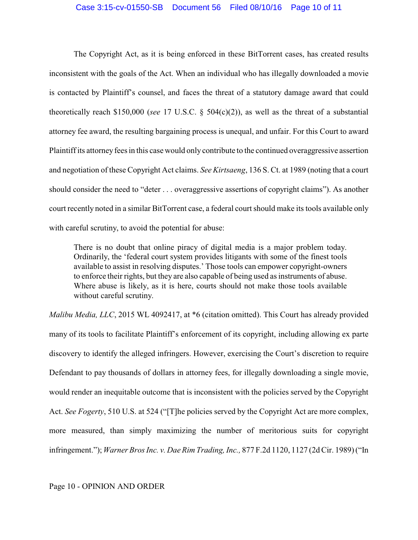#### Case 3:15-cv-01550-SB Document 56 Filed 08/10/16 Page 10 of 11

The Copyright Act, as it is being enforced in these BitTorrent cases, has created results inconsistent with the goals of the Act. When an individual who has illegally downloaded a movie is contacted by Plaintiff's counsel, and faces the threat of a statutory damage award that could theoretically reach \$150,000 (*see* 17 U.S.C. § 504(c)(2)), as well as the threat of a substantial attorney fee award, the resulting bargaining process is unequal, and unfair. For this Court to award Plaintiff its attorney fees in this case would only contribute to the continued overaggressive assertion and negotiation of these Copyright Act claims. *See Kirtsaeng*, 136 S. Ct. at 1989 (noting that a court should consider the need to "deter . . . overaggressive assertions of copyright claims"). As another court recently noted in a similar BitTorrent case, a federal court should make its tools available only with careful scrutiny, to avoid the potential for abuse:

There is no doubt that online piracy of digital media is a major problem today. Ordinarily, the 'federal court system provides litigants with some of the finest tools available to assist in resolving disputes.' Those tools can empower copyright-owners to enforce their rights, but they are also capable of being used as instruments of abuse. Where abuse is likely, as it is here, courts should not make those tools available without careful scrutiny.

*Malibu Media, LLC*, 2015 WL 4092417, at \*6 (citation omitted). This Court has already provided many of its tools to facilitate Plaintiff's enforcement of its copyright, including allowing ex parte discovery to identify the alleged infringers. However, exercising the Court's discretion to require Defendant to pay thousands of dollars in attorney fees, for illegally downloading a single movie, would render an inequitable outcome that is inconsistent with the policies served by the Copyright Act. *See Fogerty*, 510 U.S. at 524 ("[T]he policies served by the Copyright Act are more complex, more measured, than simply maximizing the number of meritorious suits for copyright infringement."); *Warner Bros Inc. v. Dae Rim Trading, Inc.,* 877 F.2d 1120, 1127 (2d Cir. 1989) ("In